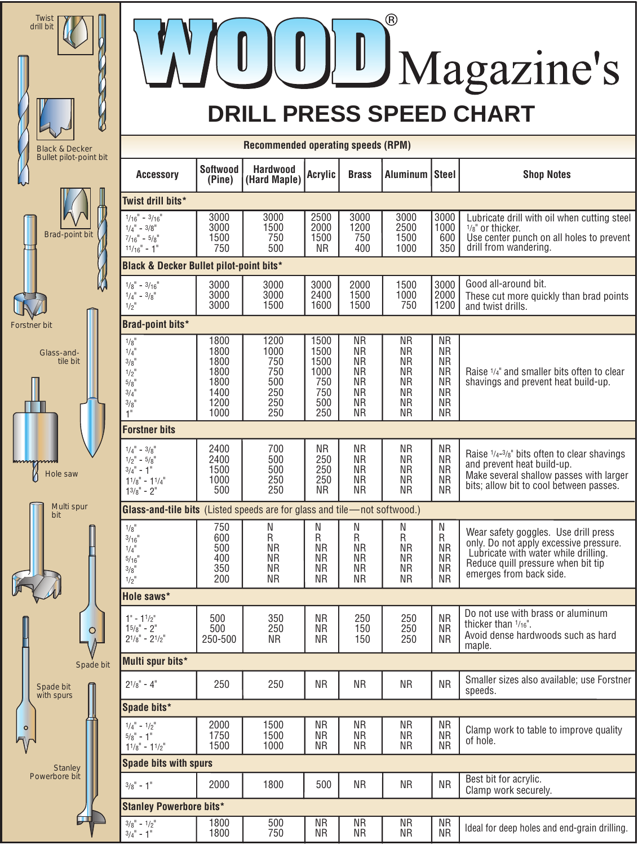